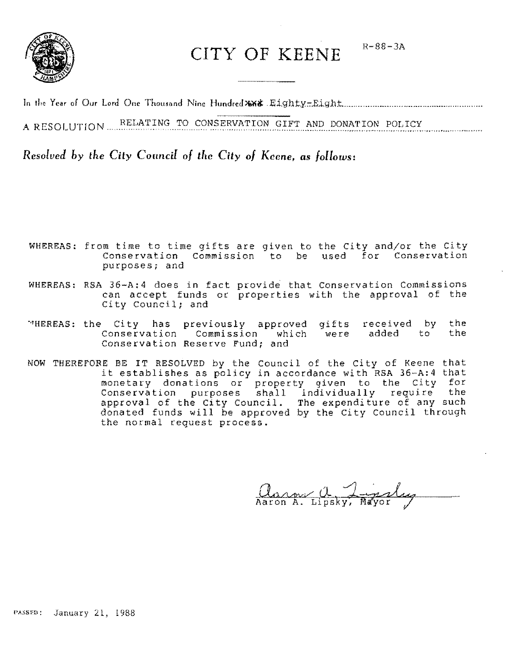

CITY OF KEENE R-88-3A

In li« Year of Our Lord One Tholl,and Nine HundrcJ~iI: Eighty::-.Eight .......................................... " ...... " ..... .

A RESOLUTION RELATING TO CONSERVATION GIFT AND DONATION POLICY

*Resolved by the City Council of the City of Keene. as follows:* 

- WHEREAS: from time to time gifts are given to the City and/or the City Conservation Commission to be used for Conservation purposes; and
- WHEREAS: RSA 36-A:4 does in fact provide that Conservation Commissions can accept funds or properties with the approval of the City Council; and
- ~HEREAS: the City has Conservation Conservation Reserve Fund; and previously approved Commission which gifts were received by added to the the
- NOW THEREFORE BE IT RESOLVED by the Council of the City of Keene that it establishes as policy in accordance with RSA 36-A:4 that monetary donations or property given to the City for Conservation purposes shall individually require the approval of the City Council. The expenditure of any such donated funds will be approved by the City Council through the normal request process.

<u>Ann a Lipsky</u>, Mayor

PASSED: January 21, 1988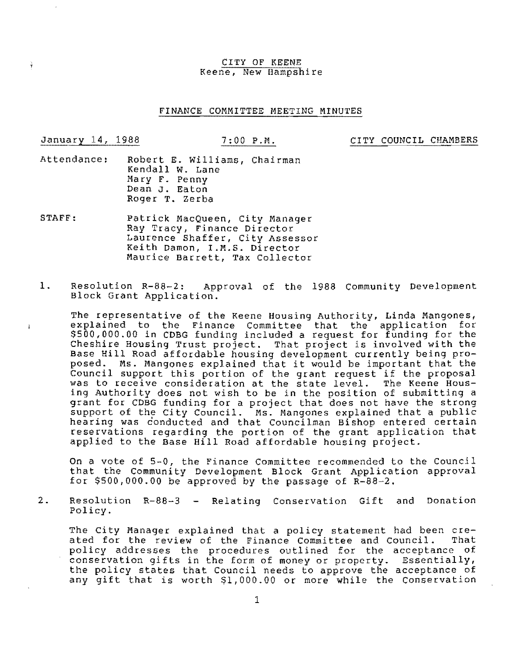#### CITY OF KEENE Keene, New Hampshire

#### FINANCE COMMITTEE MEETING MINUTES

 $\mathbf{r}$ 

January 14, 1988 7:00 P.M. CITY COUNCIL CHAMBERS

- Attendance: Robert E. Williams, Chairman Kendall W. Lane Mary F. Penny Dean J. Eaton Roger T. Zerba
- STAFF: Patrick MacQueen, City Manager Ray Tracy, Finance Director Laurence Shaffer, City Assessor Keith Damon, I.M.S. Director Maurice Barrett, Tax Collector
- 1. Resolution R-88-2: Approval of the 1988 Community Development Block Grant Application.

The representative of the Keene Housing Authority, Linda Mangones, explained to the Finance Committee that the application for \$500,000.00 in CDBG funding included a request for funding for the Cheshire Housing Trust project. That project is involved with the Base Hill Road affordable housing development currently being proposed. Ms. Mangones explained that it would be important that the Council support this portion of the grant request if the proposal was to receive consideration at the state level. The Keene Housing Authority does not wish to be in the position of submitting a grant for CDBG funding for a project that does not have the strong support of the City Council. Ms. Mangones explained that a public hearing was conducted and that Councilman Bishop entered certain reservations regarding the portion of the grant application that applied to the Base Hill Road affordable housing project.

On a vote of 5-0, the Finance Committee recommended to the Council that the Community Development Block Grant Application approval for  $$500,000.00$  be approved by the passage of  $R-88-2$ .

2. Resolution R-88-3 - Relating Conservation Gift and Donation Policy.

The City Manager explained that a policy statement had been cre-<br>ated for the review of the Finance Committee and Council. That ated for the review of the Finance Committee and Council. policy addresses the procedures outlined for the acceptance of poincy duffered one procedures outfined for the acceptance of the policy states that Council needs to approve the acceptance of any gift that is worth \$1,000.00 or more while the Conservation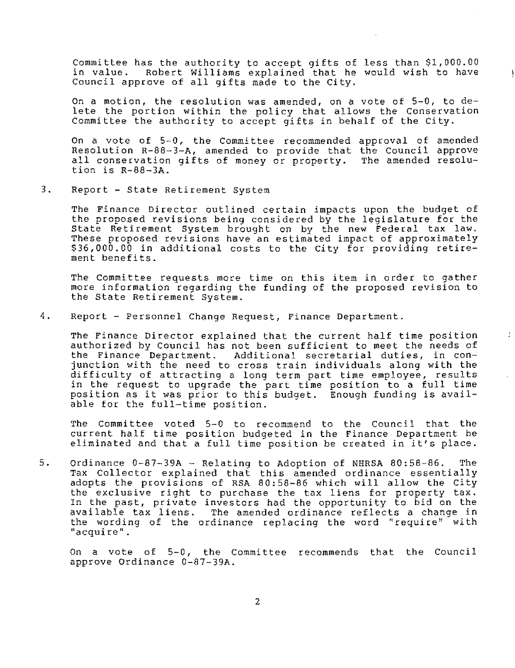Committee has the authority to accept gifts of less than \$1,000.00 Robert Williams explained that he would wish to have Council approve of all gifts made to the City.

On a motion, the resolution was amended, on a vote of 5-0, to delete the portion within the policy that allows the Conservation Committee the authority to accept gifts in behalf of the City.

On a vote of 5-0, the Committee recommended approval of amended Resolution R-8B-3-A, amended to provide that the Council approve all conservation gifts of money or property. The amended resolution is R-88-3A.

3. Report - state Retirement System

The Finance Director outlined certain impacts upon the budget of the proposed revisions being considered by the legislature for the State Retirement System brought on by the new Federal tax law. These proposed revisions have an estimated impact of approximately \$36,000.00 in additional costs to the City for providing retirement benefits.

The Committee requests more time on this item in order to gather more information regarding the funding of the proposed revision to the State Retirement System.

4. Report - Personnel Change Request, Finance Department.

The Finance Director explained that the current half time position authorized by Council has not been sufficient to meet the needs of the Finance Department. Additional secretarial duties, in conjunction with the need to cross train individuals along with the difficulty of attracting a long term part time employee, results in the request to upgrade the part time position to a full time position as it was prior to this budget. Enough funding is available for the full-time position.

 $\frac{1}{2}$ 

The Committee voted 5-0 to recommend to the Council that the current half time position budgeted in the Finance Department be current nair time position budgeted in the finance Department be<br>eliminated and that a full time position be created in it's place.

5. Ordinance 0-87-39A - Relating to Adoption of NHRSA 80:58-86. The Tax Collector explained that this amended ordinance essentially adopts the provisions of RSA 80:58-86 which will allow the City the exclusive right to purchase the tax liens for property *tax.*  In the past, private investors had the opportunity to bid on the available tax liens. The amended ordinance reflects a change in the wording of the ordinance replacing the word "require" with **lIacquire tl •** 

On a vote of 5-0, the Committee recommends that the Council approve Ordinance 0-87-39A.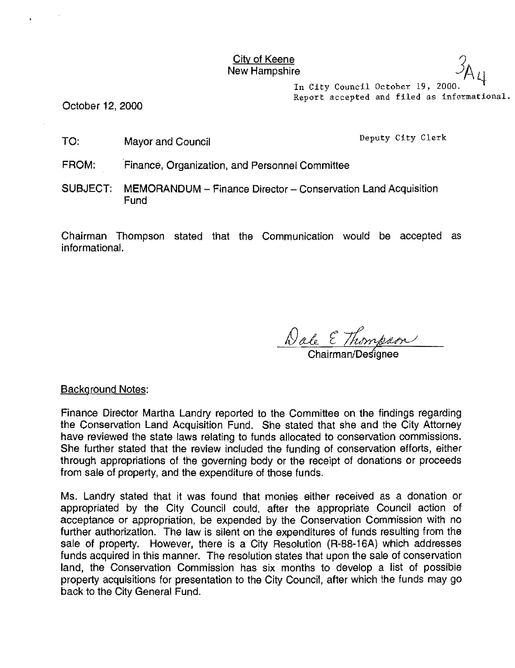$\frac{\text{City of Keene}}{\text{Our Haman} \geq 3.6}$ **City of Keene**<br>New Hampshire

> In City Council October 19, 2000. Report accepted and filed as informational.

October 12, 2000

TO: Mayor and Council Deputy City Clerk

FROM: Finance, Organization, and Personnel Committee

SUBJECT: MEMORANDUM - Finance Director - Conservation Land Acquisition **Fund** 

Chairman Thompson stated that the Communication would be accepted as informational.

<u>Dale E Thompson</u>

Background Notes:

Finance Director Martha Landry reported to the Committee on the findings regarding the Conservation Land Acquisition Fund. She stated that she and the City Attorney have reviewed the state laws relating to funds allocated to conservation commissions. She further stated that the review included the funding of conservation efforts, either through appropriations of the governing body or the receipt of donations or proceeds from sale of property, and the expenditure of those funds.

Ms. Landry stated that it was found that monies either received as a donation or appropriated by the City Council could, after the appropriate Council action of acceptance or appropriation, be expended by the Conservation Commission with no further authorization. The law is silent on the expenditures of funds resulting from the sale of property. However, there is a City Resolution (R-88-16A) which addresses funds acquired in this manner. The resolution states that upon the sale of conservation land, the Conservation Commission has six months to develop a list of possible property acquisitions for presentation to the City Council, after which the funds may go back to the City General Fund.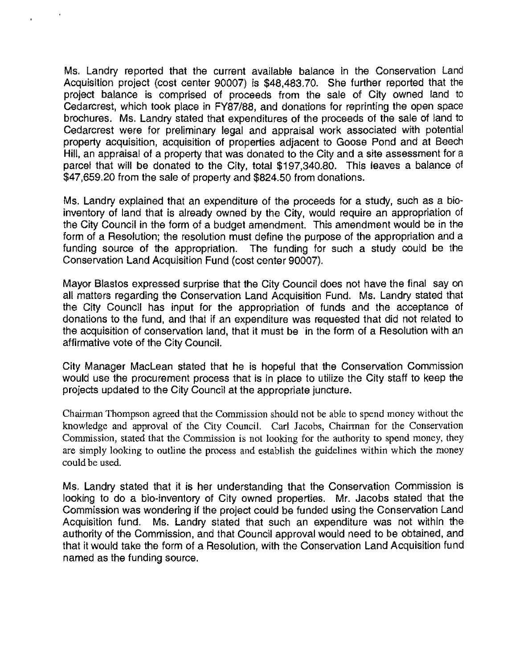Ms. Landry reported that the current available balance in the Conservation Land Acquisition project (cost center 90007) is \$48,483.70. She further reported that the project balance is comprised of proceeds from the sale of City owned land to Cedarcrest, which took place in FY87/88, and donations for reprinting the open space brochures. Ms. Landry stated that expenditures of the proceeds of the sale of land to Cedarcrest were for preliminary legal and appraisal work associated with potential property acquisition, acquisition of properties adjacent to Goose Pond and at Beech Hill, an appraisal of a property that was donated to the City and a site assessment for a parcel that will be donated to the City, total \$197,340.80. This leaves a balance of \$47,659.20 from the sale of property and \$824.50 from donations.

Ms. Landry explained that an expenditure of the proceeds for a study, such as a bioinventory of land that is already owned by the City, would require an appropriation of the City Council in the form of a budget amendment. This amendment would be in the form of a Resolution; the resolution must define the purpose of the appropriation and a funding source of the appropriation. The funding for such a study could be the Conservation Land Acquisition Fund (cost center 90007).

Mayor Blastos expressed surprise that the City Council does not have the final say on all matters regarding the Conservation Land Acquisition Fund. Ms. Landry stated that the City Council has input for the appropriation of funds and the acceptance of donations to the fund, and that if an expenditure was requested that did not related to the acquisition of conservation land, that it must be in the form of a Resolution with an affirmative vote of the City Council.

City Manager MacLean stated that he is hopeful that the Conservation Commission would use the procurement process that is in place to utilize the City staff to keep the projects updated to the City Council at the appropriate juncture.

Chairman Thompson agreed that the Commission should not be able to spend money without the knowledge and approval of the City Council. Carl Jacobs, Chairman for the Conservation Commission, stated that the Commission is not looking for the authority to spend money, they are simply looking to outline the process and establish the guidelines within which the money could be used.

Ms. Landry stated that it is her understanding that the Conservation Commission is looking to do a bio-inventory of City owned properties. Mr. Jacobs stated that the Commission was wondering if the project could be funded using the Conservation Land Acquisition fund. Ms. Landry stated that such an expenditure was not within the authority of the Commission, and that Council approval would need to be obtained, and that it would take the form of a Resolution, with the Conservation Land Acquisition fund named as the funding source.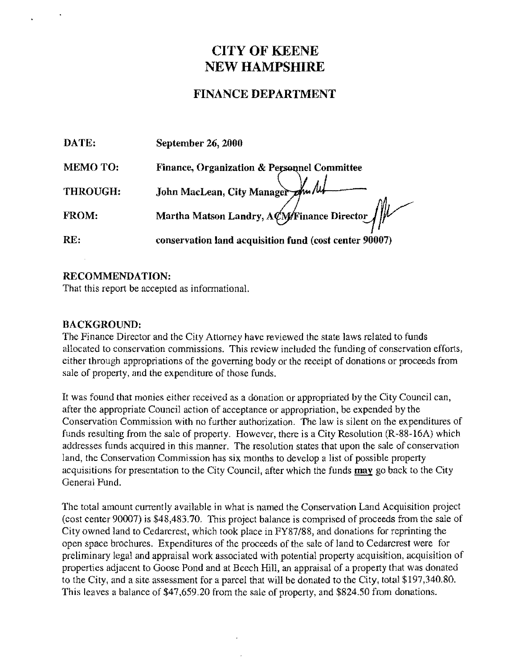# **CITY OF** KEENE NEW **HAMPSHIRE**

## FINANCE DEPARTMENT

| DATE:          | September 26, 2000                                     |
|----------------|--------------------------------------------------------|
| <b>MEMOTO:</b> | Finance, Organization & Personnel Committee            |
| THROUGH:       | John MacLean, City Manager Am /u/                      |
| FROM:          | Martha Matson Landry, ACM Finance Director             |
| RE:            | conservation land acquisition fund (cost center 90007) |

## RECOMMENDATION:

That this report be accepted as informational.

### BACKGROUND:

The Finance Director and the City Attorney have reviewed the state laws related to funds allocated to conservation commissions. This review included the funding of conservation efforts, either through appropriations of the governing body or the receipt of donations or proceeds from sale of property, and the expenditure of those funds.

It was found that monies either received as a donation or appropriated by the City Council can, after the appropriate Council action of acceptance or appropriation, be expended by the Conservation Commission with no further authorization. The law is silent on the expenditures of funds resulting from the sale of property. However, there is a City Resolution (R-88-16A) which addresses funds acquired in this manner. The resolution states that upon the sale of conservation land, the Conservation Commission has six months to develop a list of possible property acquisitions for presentation to the City Council, after which the funds may go back to the City General Fund.

The total amount currently available in what is named the Conservation Land Acquisition project (cost center 90007) is \$48,483.70. This project balance is comprised of proceeds from the sale of City owned land to Cedarcrest, which took place in FY87/88, and donations for reprinting the open space brochures. Expenditures of the proceeds of the sale of land to Cedarcrest were for preliminary legal and appraisal work associated with potential property acquisition, acquisition of properties adjacent to Goose Pond and at Beech Hill, an appraisal of a property that was donated to the City, and a site assessment for a parcel that will be donated to the City, total \$197,340.80. This leaves a balance of \$47,659.20 from the sale of property, and \$824.50 from donations.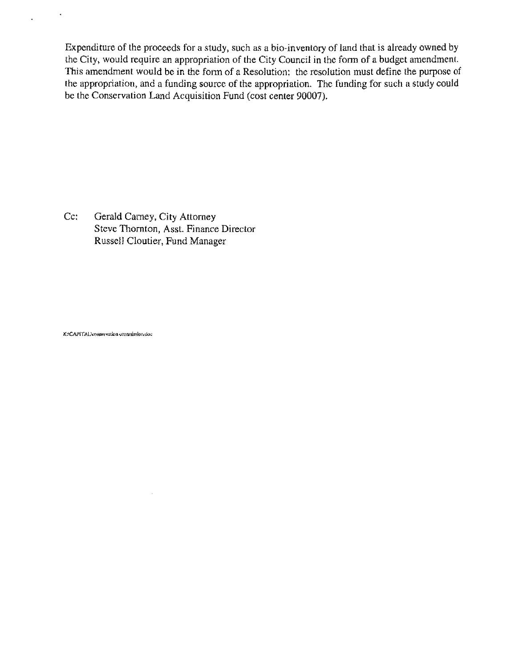Expenditure of the proeeeds for a study. such as a bio-inventory of land that is already owned by the City. would require an appropriation of the City Council in the fonn of a budgct amendment. This amendment would be in the form of a Resolution; the resolution must define the purpose of the appropriation. and a funding source of the appropriation. The funding for such a study could be the Conservation Land Acquisition Fund (cost center 90007).

Cc: Gerald Camey, City Attorney Steve Thornton, Asst. Finance Director Russell Cloutier, Fund Manager

 $\bar{\lambda}$ 

KACAPITALAeonservation commission.doc

 $\star$ 

l.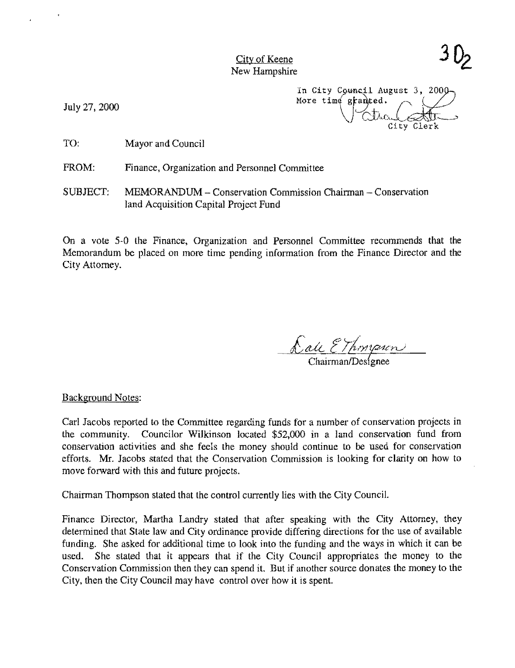City of Keene New Hampshire

July 27,2000

In City Council August 3, 2000 More time granted. City Clerk

TO: Mayor and Council

FROM: Finance, Organization and Personnel Committee

SUBJECT: MEMORANDUM - Conservation Commission Chairman - Conservation land Acquisition Capital Project Fund

On a vote 5-0 the Finance, Organization and Personnel Committee recommends that the Memorandum be placed on more time pending information from the Finance Director and the City Attorney.

<u>Calc</u> EThompson

Background Notes:

Carl Jacobs reported to the Committee regarding funds for a number of conservation projects in the community. Councilor Wilkinson located \$52,000 in a land conservation fund from conservation activities and she feels the money should continue to be used for conservation efforts. Mr. Jacobs stated that the Conservation Commission is looking for clarity on how to move forward with this and future projects.

Chairman Thompson stated that the control currently lies with the City CounciL

Finance Director, Martha Landry stated that after speaking with the City Attorney, they detennined that State law and City ordinance provide differing directions for the use of available funding. She asked for additional time to look into the funding and the ways in which it can be used. She stated that it appears that if the City Council appropriates the money to the Conservation Commission then they can spend it. But if another source donates the money to the City, then the City Council may have control over how it is spent.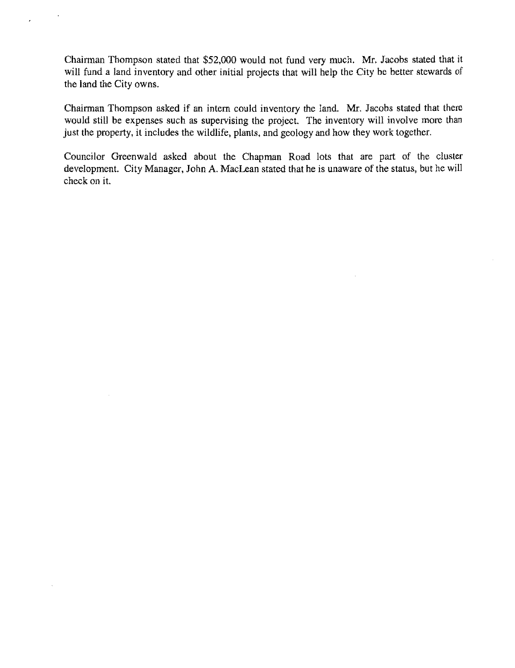Chairman Thompson stated that \$52,000 would not fund very much. Mr. Jacobs stated that it will fund a land inventory and other initial projects that will help the City be better stewards of the land the City owns.

Chairman Thompson asked if an intern could inventory the land. Mr. Jacobs stated that there would still be expenses such as supervising the project. The inventory will involve more than just the property, it includes the wildlife, plants, and geology and how they work together.

Councilor Greenwald asked about the Chapman Road lots that are part of the cluster development. City Manager, John A. MacLean stated that he is unaware of the status, but he will check on it.